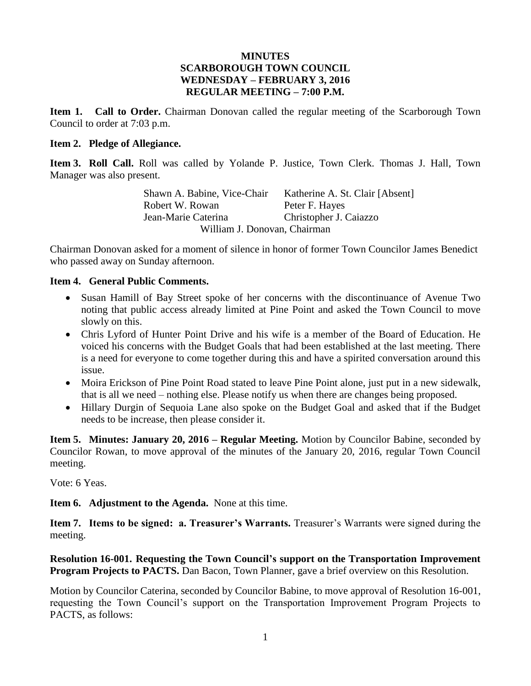### **MINUTES SCARBOROUGH TOWN COUNCIL WEDNESDAY – FEBRUARY 3, 2016 REGULAR MEETING – 7:00 P.M.**

**Item 1. Call to Order.** Chairman Donovan called the regular meeting of the Scarborough Town Council to order at 7:03 p.m.

### **Item 2. Pledge of Allegiance.**

**Item 3. Roll Call.** Roll was called by Yolande P. Justice, Town Clerk. Thomas J. Hall, Town Manager was also present.

> Shawn A. Babine, Vice-Chair Katherine A. St. Clair [Absent] Robert W. Rowan Peter F. Hayes Jean-Marie Caterina Christopher J. Caiazzo William J. Donovan, Chairman

Chairman Donovan asked for a moment of silence in honor of former Town Councilor James Benedict who passed away on Sunday afternoon.

### **Item 4. General Public Comments.**

- Susan Hamill of Bay Street spoke of her concerns with the discontinuance of Avenue Two noting that public access already limited at Pine Point and asked the Town Council to move slowly on this.
- Chris Lyford of Hunter Point Drive and his wife is a member of the Board of Education. He voiced his concerns with the Budget Goals that had been established at the last meeting. There is a need for everyone to come together during this and have a spirited conversation around this issue.
- Moira Erickson of Pine Point Road stated to leave Pine Point alone, just put in a new sidewalk, that is all we need – nothing else. Please notify us when there are changes being proposed.
- Hillary Durgin of Sequoia Lane also spoke on the Budget Goal and asked that if the Budget needs to be increase, then please consider it.

**Item 5. Minutes: January 20, 2016 – Regular Meeting.** Motion by Councilor Babine, seconded by Councilor Rowan, to move approval of the minutes of the January 20, 2016, regular Town Council meeting.

Vote: 6 Yeas.

**Item 6. Adjustment to the Agenda.** None at this time.

**Item 7. Items to be signed: a. Treasurer's Warrants.** Treasurer's Warrants were signed during the meeting.

**Resolution 16-001. Requesting the Town Council's support on the Transportation Improvement Program Projects to PACTS.** Dan Bacon, Town Planner, gave a brief overview on this Resolution.

Motion by Councilor Caterina, seconded by Councilor Babine, to move approval of Resolution 16-001, requesting the Town Council's support on the Transportation Improvement Program Projects to PACTS, as follows: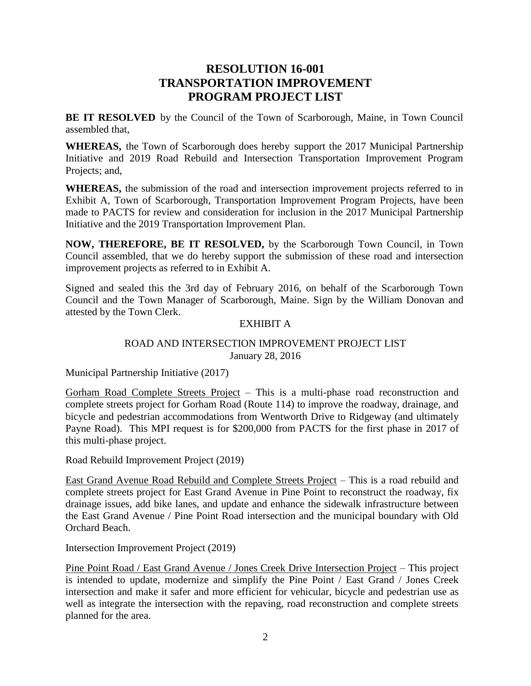# **RESOLUTION 16-001 TRANSPORTATION IMPROVEMENT PROGRAM PROJECT LIST**

**BE IT RESOLVED** by the Council of the Town of Scarborough, Maine, in Town Council assembled that,

**WHEREAS,** the Town of Scarborough does hereby support the 2017 Municipal Partnership Initiative and 2019 Road Rebuild and Intersection Transportation Improvement Program Projects; and,

**WHEREAS,** the submission of the road and intersection improvement projects referred to in Exhibit A, Town of Scarborough, Transportation Improvement Program Projects, have been made to PACTS for review and consideration for inclusion in the 2017 Municipal Partnership Initiative and the 2019 Transportation Improvement Plan.

**NOW, THEREFORE, BE IT RESOLVED,** by the Scarborough Town Council, in Town Council assembled, that we do hereby support the submission of these road and intersection improvement projects as referred to in Exhibit A.

Signed and sealed this the 3rd day of February 2016, on behalf of the Scarborough Town Council and the Town Manager of Scarborough, Maine. Sign by the William Donovan and attested by the Town Clerk.

### EXHIBIT A

### ROAD AND INTERSECTION IMPROVEMENT PROJECT LIST January 28, 2016

Municipal Partnership Initiative (2017)

Gorham Road Complete Streets Project – This is a multi-phase road reconstruction and complete streets project for Gorham Road (Route 114) to improve the roadway, drainage, and bicycle and pedestrian accommodations from Wentworth Drive to Ridgeway (and ultimately Payne Road). This MPI request is for \$200,000 from PACTS for the first phase in 2017 of this multi-phase project.

Road Rebuild Improvement Project (2019)

East Grand Avenue Road Rebuild and Complete Streets Project – This is a road rebuild and complete streets project for East Grand Avenue in Pine Point to reconstruct the roadway, fix drainage issues, add bike lanes, and update and enhance the sidewalk infrastructure between the East Grand Avenue / Pine Point Road intersection and the municipal boundary with Old Orchard Beach.

Intersection Improvement Project (2019)

Pine Point Road / East Grand Avenue / Jones Creek Drive Intersection Project – This project is intended to update, modernize and simplify the Pine Point / East Grand / Jones Creek intersection and make it safer and more efficient for vehicular, bicycle and pedestrian use as well as integrate the intersection with the repaving, road reconstruction and complete streets planned for the area.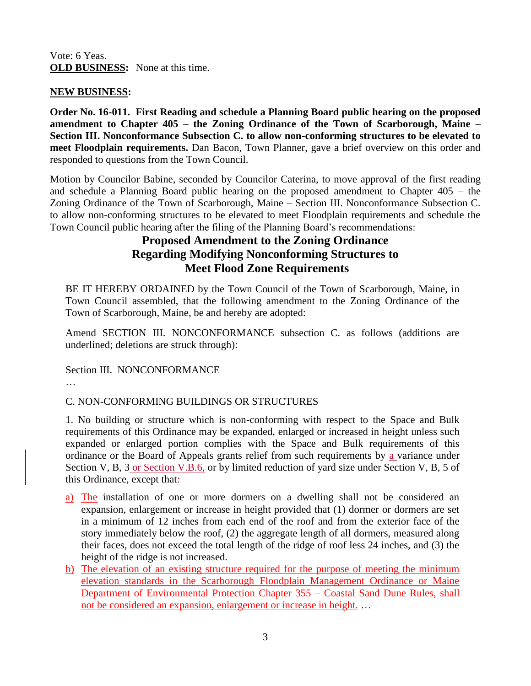### Vote: 6 Yeas. **OLD BUSINESS:** None at this time.

### **NEW BUSINESS:**

**Order No. 16-011. First Reading and schedule a Planning Board public hearing on the proposed amendment to Chapter 405 – the Zoning Ordinance of the Town of Scarborough, Maine – Section III. Nonconformance Subsection C. to allow non-conforming structures to be elevated to meet Floodplain requirements.** Dan Bacon, Town Planner, gave a brief overview on this order and responded to questions from the Town Council.

Motion by Councilor Babine, seconded by Councilor Caterina, to move approval of the first reading and schedule a Planning Board public hearing on the proposed amendment to Chapter 405 – the Zoning Ordinance of the Town of Scarborough, Maine – Section III. Nonconformance Subsection C. to allow non-conforming structures to be elevated to meet Floodplain requirements and schedule the Town Council public hearing after the filing of the Planning Board's recommendations:

# **Proposed Amendment to the Zoning Ordinance Regarding Modifying Nonconforming Structures to Meet Flood Zone Requirements**

BE IT HEREBY ORDAINED by the Town Council of the Town of Scarborough, Maine, in Town Council assembled, that the following amendment to the Zoning Ordinance of the Town of Scarborough, Maine, be and hereby are adopted:

Amend SECTION III. NONCONFORMANCE subsection C. as follows (additions are underlined; deletions are struck through):

Section III. NONCONFORMANCE

…

# C. NON-CONFORMING BUILDINGS OR STRUCTURES

1. No building or structure which is non-conforming with respect to the Space and Bulk requirements of this Ordinance may be expanded, enlarged or increased in height unless such expanded or enlarged portion complies with the Space and Bulk requirements of this ordinance or the Board of Appeals grants relief from such requirements by a variance under Section V, B, 3 or Section V.B.6, or by limited reduction of yard size under Section V, B, 5 of this Ordinance, except that:

- a) The installation of one or more dormers on a dwelling shall not be considered an expansion, enlargement or increase in height provided that (1) dormer or dormers are set in a minimum of 12 inches from each end of the roof and from the exterior face of the story immediately below the roof, (2) the aggregate length of all dormers, measured along their faces, does not exceed the total length of the ridge of roof less 24 inches, and (3) the height of the ridge is not increased.
- b) The elevation of an existing structure required for the purpose of meeting the minimum elevation standards in the Scarborough Floodplain Management Ordinance or Maine Department of Environmental Protection Chapter 355 – Coastal Sand Dune Rules, shall not be considered an expansion, enlargement or increase in height. ...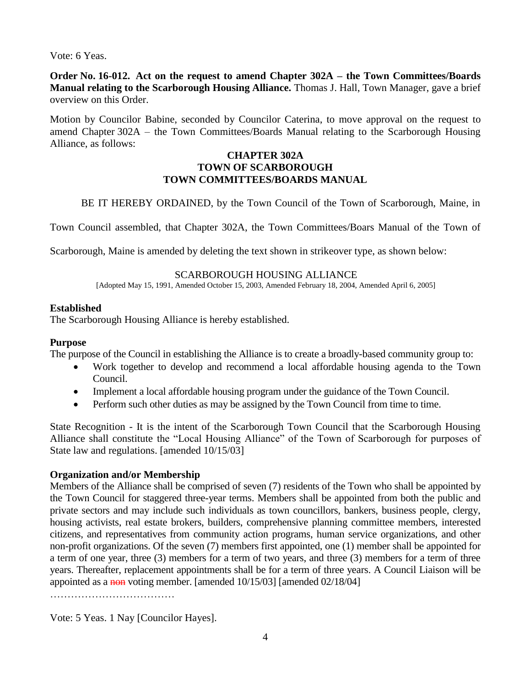Vote: 6 Yeas.

**Order No. 16-012. Act on the request to amend Chapter 302A – the Town Committees/Boards Manual relating to the Scarborough Housing Alliance.** Thomas J. Hall, Town Manager, gave a brief overview on this Order.

Motion by Councilor Babine, seconded by Councilor Caterina, to move approval on the request to amend Chapter 302A – the Town Committees/Boards Manual relating to the Scarborough Housing Alliance, as follows:

### **CHAPTER 302A TOWN OF SCARBOROUGH TOWN COMMITTEES/BOARDS MANUAL**

BE IT HEREBY ORDAINED, by the Town Council of the Town of Scarborough, Maine, in

Town Council assembled, that Chapter 302A, the Town Committees/Boars Manual of the Town of

Scarborough, Maine is amended by deleting the text shown in strikeover type, as shown below:

#### SCARBOROUGH HOUSING ALLIANCE

[Adopted May 15, 1991, Amended October 15, 2003, Amended February 18, 2004, Amended April 6, 2005]

### **Established**

The Scarborough Housing Alliance is hereby established.

#### **Purpose**

The purpose of the Council in establishing the Alliance is to create a broadly-based community group to:

- Work together to develop and recommend a local affordable housing agenda to the Town Council.
- Implement a local affordable housing program under the guidance of the Town Council.
- Perform such other duties as may be assigned by the Town Council from time to time.

State Recognition - It is the intent of the Scarborough Town Council that the Scarborough Housing Alliance shall constitute the "Local Housing Alliance" of the Town of Scarborough for purposes of State law and regulations. [amended 10/15/03]

### **Organization and/or Membership**

Members of the Alliance shall be comprised of seven (7) residents of the Town who shall be appointed by the Town Council for staggered three-year terms. Members shall be appointed from both the public and private sectors and may include such individuals as town councillors, bankers, business people, clergy, housing activists, real estate brokers, builders, comprehensive planning committee members, interested citizens, and representatives from community action programs, human service organizations, and other non-profit organizations. Of the seven (7) members first appointed, one (1) member shall be appointed for a term of one year, three (3) members for a term of two years, and three (3) members for a term of three years. Thereafter, replacement appointments shall be for a term of three years. A Council Liaison will be appointed as a non voting member. [amended 10/15/03] [amended 02/18/04]

Vote: 5 Yeas. 1 Nay [Councilor Hayes].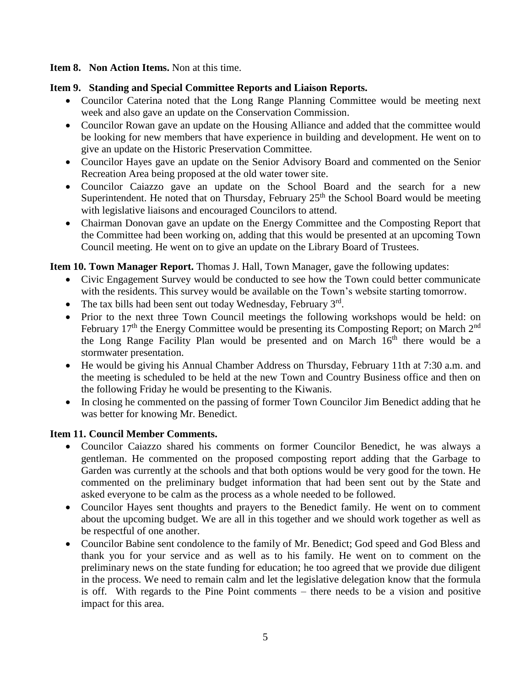**Item 8. Non Action Items.** Non at this time.

### **Item 9. Standing and Special Committee Reports and Liaison Reports.**

- Councilor Caterina noted that the Long Range Planning Committee would be meeting next week and also gave an update on the Conservation Commission.
- Councilor Rowan gave an update on the Housing Alliance and added that the committee would be looking for new members that have experience in building and development. He went on to give an update on the Historic Preservation Committee.
- Councilor Hayes gave an update on the Senior Advisory Board and commented on the Senior Recreation Area being proposed at the old water tower site.
- Councilor Caiazzo gave an update on the School Board and the search for a new Superintendent. He noted that on Thursday, February  $25<sup>th</sup>$  the School Board would be meeting with legislative liaisons and encouraged Councilors to attend.
- Chairman Donovan gave an update on the Energy Committee and the Composting Report that the Committee had been working on, adding that this would be presented at an upcoming Town Council meeting. He went on to give an update on the Library Board of Trustees.

### **Item 10. Town Manager Report.** Thomas J. Hall, Town Manager, gave the following updates:

- Civic Engagement Survey would be conducted to see how the Town could better communicate with the residents. This survey would be available on the Town's website starting tomorrow.
- The tax bills had been sent out today Wednesday, February 3rd.
- Prior to the next three Town Council meetings the following workshops would be held: on February  $17<sup>th</sup>$  the Energy Committee would be presenting its Composting Report; on March  $2<sup>nd</sup>$ the Long Range Facility Plan would be presented and on March  $16<sup>th</sup>$  there would be a stormwater presentation.
- He would be giving his Annual Chamber Address on Thursday, February 11th at 7:30 a.m. and the meeting is scheduled to be held at the new Town and Country Business office and then on the following Friday he would be presenting to the Kiwanis.
- In closing he commented on the passing of former Town Councilor Jim Benedict adding that he was better for knowing Mr. Benedict.

# **Item 11. Council Member Comments.**

- Councilor Caiazzo shared his comments on former Councilor Benedict, he was always a gentleman. He commented on the proposed composting report adding that the Garbage to Garden was currently at the schools and that both options would be very good for the town. He commented on the preliminary budget information that had been sent out by the State and asked everyone to be calm as the process as a whole needed to be followed.
- Councilor Hayes sent thoughts and prayers to the Benedict family. He went on to comment about the upcoming budget. We are all in this together and we should work together as well as be respectful of one another.
- Councilor Babine sent condolence to the family of Mr. Benedict; God speed and God Bless and thank you for your service and as well as to his family. He went on to comment on the preliminary news on the state funding for education; he too agreed that we provide due diligent in the process. We need to remain calm and let the legislative delegation know that the formula is off. With regards to the Pine Point comments – there needs to be a vision and positive impact for this area.